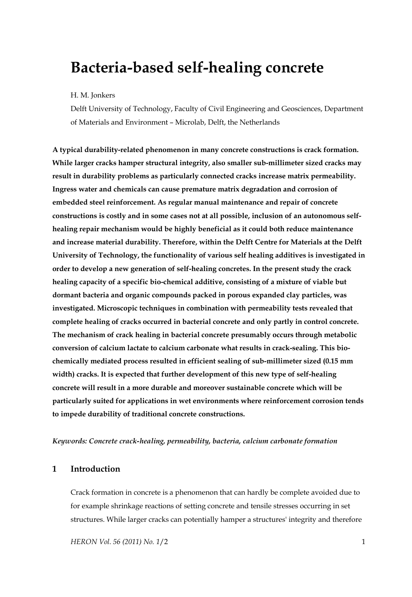# **Bacteria-based self-healing concrete**

#### H. M. Jonkers

Delft University of Technology, Faculty of Civil Engineering and Geosciences, Department of Materials and Environment – Microlab, Delft, the Netherlands

**A typical durability-related phenomenon in many concrete constructions is crack formation. While larger cracks hamper structural integrity, also smaller sub-millimeter sized cracks may result in durability problems as particularly connected cracks increase matrix permeability. Ingress water and chemicals can cause premature matrix degradation and corrosion of embedded steel reinforcement. As regular manual maintenance and repair of concrete constructions is costly and in some cases not at all possible, inclusion of an autonomous selfhealing repair mechanism would be highly beneficial as it could both reduce maintenance and increase material durability. Therefore, within the Delft Centre for Materials at the Delft University of Technology, the functionality of various self healing additives is investigated in order to develop a new generation of self-healing concretes. In the present study the crack healing capacity of a specific bio-chemical additive, consisting of a mixture of viable but dormant bacteria and organic compounds packed in porous expanded clay particles, was investigated. Microscopic techniques in combination with permeability tests revealed that complete healing of cracks occurred in bacterial concrete and only partly in control concrete. The mechanism of crack healing in bacterial concrete presumably occurs through metabolic conversion of calcium lactate to calcium carbonate what results in crack-sealing. This biochemically mediated process resulted in efficient sealing of sub-millimeter sized (0.15 mm width) cracks. It is expected that further development of this new type of self-healing concrete will result in a more durable and moreover sustainable concrete which will be particularly suited for applications in wet environments where reinforcement corrosion tends to impede durability of traditional concrete constructions.** 

#### *Keywords: Concrete crack-healing, permeability, bacteria, calcium carbonate formation*

### **1 Introduction**

Crack formation in concrete is a phenomenon that can hardly be complete avoided due to for example shrinkage reactions of setting concrete and tensile stresses occurring in set structures. While larger cracks can potentially hamper a structures' integrity and therefore

*HERON Vol. 56 (2011) No. 1*/2 1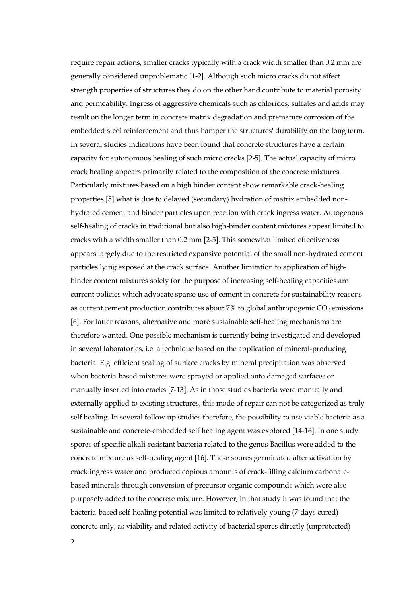require repair actions, smaller cracks typically with a crack width smaller than 0.2 mm are generally considered unproblematic [1-2]. Although such micro cracks do not affect strength properties of structures they do on the other hand contribute to material porosity and permeability. Ingress of aggressive chemicals such as chlorides, sulfates and acids may result on the longer term in concrete matrix degradation and premature corrosion of the embedded steel reinforcement and thus hamper the structures' durability on the long term. In several studies indications have been found that concrete structures have a certain capacity for autonomous healing of such micro cracks [2-5]. The actual capacity of micro crack healing appears primarily related to the composition of the concrete mixtures. Particularly mixtures based on a high binder content show remarkable crack-healing properties [5] what is due to delayed (secondary) hydration of matrix embedded nonhydrated cement and binder particles upon reaction with crack ingress water. Autogenous self-healing of cracks in traditional but also high-binder content mixtures appear limited to cracks with a width smaller than 0.2 mm [2-5]. This somewhat limited effectiveness appears largely due to the restricted expansive potential of the small non-hydrated cement particles lying exposed at the crack surface. Another limitation to application of highbinder content mixtures solely for the purpose of increasing self-healing capacities are current policies which advocate sparse use of cement in concrete for sustainability reasons as current cement production contributes about  $7\%$  to global anthropogenic  $CO<sub>2</sub>$  emissions [6]. For latter reasons, alternative and more sustainable self-healing mechanisms are therefore wanted. One possible mechanism is currently being investigated and developed in several laboratories, i.e. a technique based on the application of mineral-producing bacteria. E.g. efficient sealing of surface cracks by mineral precipitation was observed when bacteria-based mixtures were sprayed or applied onto damaged surfaces or manually inserted into cracks [7-13]. As in those studies bacteria were manually and externally applied to existing structures, this mode of repair can not be categorized as truly self healing. In several follow up studies therefore, the possibility to use viable bacteria as a sustainable and concrete-embedded self healing agent was explored [14-16]. In one study spores of specific alkali-resistant bacteria related to the genus Bacillus were added to the concrete mixture as self-healing agent [16]. These spores germinated after activation by crack ingress water and produced copious amounts of crack-filling calcium carbonatebased minerals through conversion of precursor organic compounds which were also purposely added to the concrete mixture. However, in that study it was found that the bacteria-based self-healing potential was limited to relatively young (7-days cured) concrete only, as viability and related activity of bacterial spores directly (unprotected)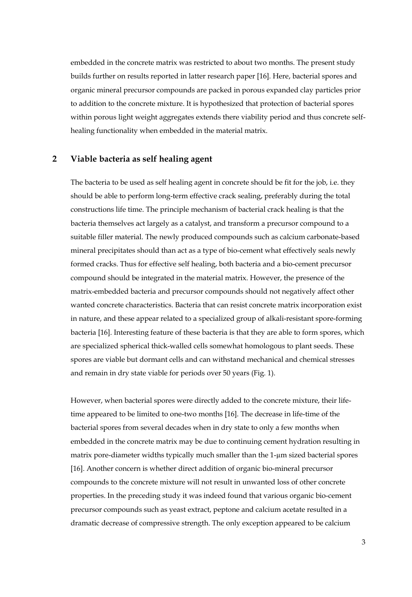embedded in the concrete matrix was restricted to about two months. The present study builds further on results reported in latter research paper [16]. Here, bacterial spores and organic mineral precursor compounds are packed in porous expanded clay particles prior to addition to the concrete mixture. It is hypothesized that protection of bacterial spores within porous light weight aggregates extends there viability period and thus concrete selfhealing functionality when embedded in the material matrix.

# **2 Viable bacteria as self healing agent**

The bacteria to be used as self healing agent in concrete should be fit for the job, i.e. they should be able to perform long-term effective crack sealing, preferably during the total constructions life time. The principle mechanism of bacterial crack healing is that the bacteria themselves act largely as a catalyst, and transform a precursor compound to a suitable filler material. The newly produced compounds such as calcium carbonate-based mineral precipitates should than act as a type of bio-cement what effectively seals newly formed cracks. Thus for effective self healing, both bacteria and a bio-cement precursor compound should be integrated in the material matrix. However, the presence of the matrix-embedded bacteria and precursor compounds should not negatively affect other wanted concrete characteristics. Bacteria that can resist concrete matrix incorporation exist in nature, and these appear related to a specialized group of alkali-resistant spore-forming bacteria [16]. Interesting feature of these bacteria is that they are able to form spores, which are specialized spherical thick-walled cells somewhat homologous to plant seeds. These spores are viable but dormant cells and can withstand mechanical and chemical stresses and remain in dry state viable for periods over 50 years (Fig. 1).

However, when bacterial spores were directly added to the concrete mixture, their lifetime appeared to be limited to one-two months [16]. The decrease in life-time of the bacterial spores from several decades when in dry state to only a few months when embedded in the concrete matrix may be due to continuing cement hydration resulting in matrix pore-diameter widths typically much smaller than the 1-µm sized bacterial spores [16]. Another concern is whether direct addition of organic bio-mineral precursor compounds to the concrete mixture will not result in unwanted loss of other concrete properties. In the preceding study it was indeed found that various organic bio-cement precursor compounds such as yeast extract, peptone and calcium acetate resulted in a dramatic decrease of compressive strength. The only exception appeared to be calcium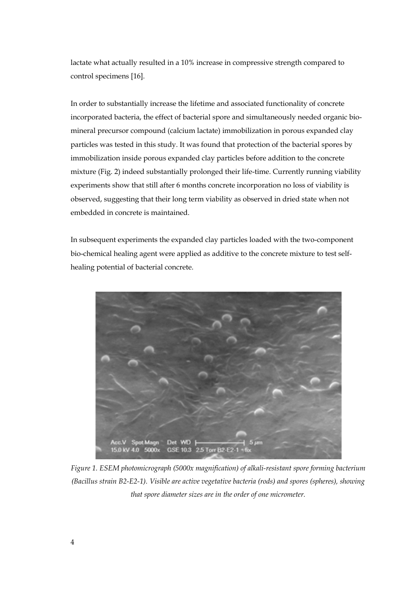lactate what actually resulted in a 10% increase in compressive strength compared to control specimens [16].

In order to substantially increase the lifetime and associated functionality of concrete incorporated bacteria, the effect of bacterial spore and simultaneously needed organic biomineral precursor compound (calcium lactate) immobilization in porous expanded clay particles was tested in this study. It was found that protection of the bacterial spores by immobilization inside porous expanded clay particles before addition to the concrete mixture (Fig. 2) indeed substantially prolonged their life-time. Currently running viability experiments show that still after 6 months concrete incorporation no loss of viability is observed, suggesting that their long term viability as observed in dried state when not embedded in concrete is maintained.

In subsequent experiments the expanded clay particles loaded with the two-component bio-chemical healing agent were applied as additive to the concrete mixture to test selfhealing potential of bacterial concrete.



*Figure 1. ESEM photomicrograph (5000x magnification) of alkali-resistant spore forming bacterium (Bacillus strain B2-E2-1). Visible are active vegetative bacteria (rods) and spores (spheres), showing that spore diameter sizes are in the order of one micrometer.*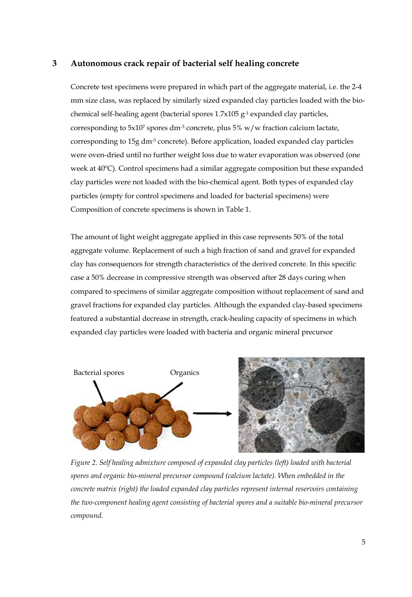## **3 Autonomous crack repair of bacterial self healing concrete**

Concrete test specimens were prepared in which part of the aggregate material, i.e. the 2-4 mm size class, was replaced by similarly sized expanded clay particles loaded with the biochemical self-healing agent (bacterial spores 1.7x105 g-1 expanded clay particles, corresponding to  $5x10^7$  spores dm<sup>-3</sup> concrete, plus  $5\%$  w/w fraction calcium lactate, corresponding to 15g dm-3 concrete). Before application, loaded expanded clay particles were oven-dried until no further weight loss due to water evaporation was observed (one week at 40ºC). Control specimens had a similar aggregate composition but these expanded clay particles were not loaded with the bio-chemical agent. Both types of expanded clay particles (empty for control specimens and loaded for bacterial specimens) were Composition of concrete specimens is shown in Table 1.

The amount of light weight aggregate applied in this case represents 50% of the total aggregate volume. Replacement of such a high fraction of sand and gravel for expanded clay has consequences for strength characteristics of the derived concrete. In this specific case a 50% decrease in compressive strength was observed after 28 days curing when compared to specimens of similar aggregate composition without replacement of sand and gravel fractions for expanded clay particles. Although the expanded clay-based specimens featured a substantial decrease in strength, crack-healing capacity of specimens in which expanded clay particles were loaded with bacteria and organic mineral precursor



*Figure 2. Self healing admixture composed of expanded clay particles (left) loaded with bacterial spores and organic bio-mineral precursor compound (calcium lactate). When embedded in the concrete matrix (right) the loaded expanded clay particles represent internal reservoirs containing the two-component healing agent consisting of bacterial spores and a suitable bio-mineral precursor compound.*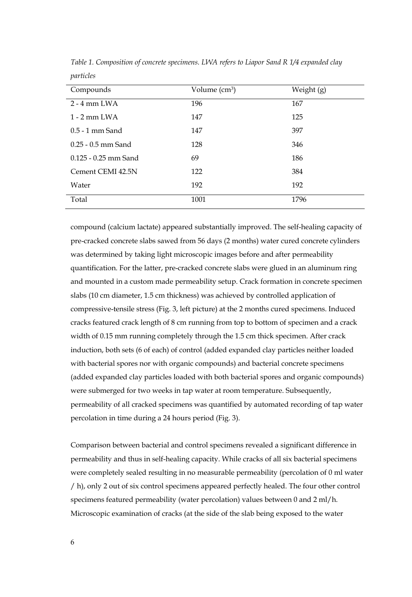| Compounds              | Volume (cm <sup>3</sup> ) | Weight (g) |
|------------------------|---------------------------|------------|
| $2 - 4$ mm LWA         | 196                       | 167        |
| $1 - 2$ mm $I.WA$      | 147                       | 125        |
| $0.5 - 1$ mm Sand      | 147                       | 397        |
| $0.25 - 0.5$ mm Sand   | 128                       | 346        |
| $0.125 - 0.25$ mm Sand | 69                        | 186        |
| Cement CEMI 42.5N      | 122                       | 384        |
| Water                  | 192                       | 192        |
| Total                  | 1001                      | 1796       |

*Table 1. Composition of concrete specimens. LWA refers to Liapor Sand R 1/4 expanded clay particles* 

compound (calcium lactate) appeared substantially improved. The self-healing capacity of pre-cracked concrete slabs sawed from 56 days (2 months) water cured concrete cylinders was determined by taking light microscopic images before and after permeability quantification. For the latter, pre-cracked concrete slabs were glued in an aluminum ring and mounted in a custom made permeability setup. Crack formation in concrete specimen slabs (10 cm diameter, 1.5 cm thickness) was achieved by controlled application of compressive-tensile stress (Fig. 3, left picture) at the 2 months cured specimens. Induced cracks featured crack length of 8 cm running from top to bottom of specimen and a crack width of 0.15 mm running completely through the 1.5 cm thick specimen. After crack induction, both sets (6 of each) of control (added expanded clay particles neither loaded with bacterial spores nor with organic compounds) and bacterial concrete specimens (added expanded clay particles loaded with both bacterial spores and organic compounds) were submerged for two weeks in tap water at room temperature. Subsequently, permeability of all cracked specimens was quantified by automated recording of tap water percolation in time during a 24 hours period (Fig. 3).

Comparison between bacterial and control specimens revealed a significant difference in permeability and thus in self-healing capacity. While cracks of all six bacterial specimens were completely sealed resulting in no measurable permeability (percolation of 0 ml water / h), only 2 out of six control specimens appeared perfectly healed. The four other control specimens featured permeability (water percolation) values between 0 and 2 ml/h. Microscopic examination of cracks (at the side of the slab being exposed to the water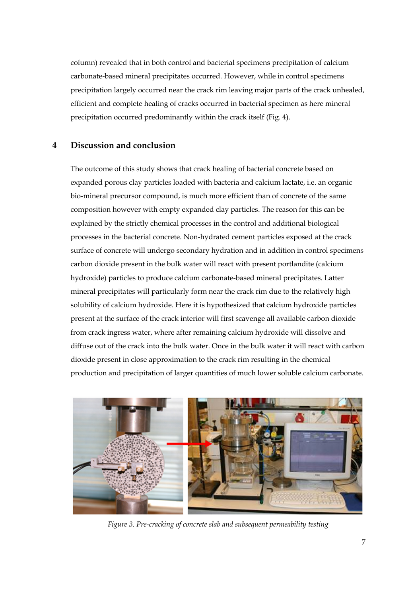column) revealed that in both control and bacterial specimens precipitation of calcium carbonate-based mineral precipitates occurred. However, while in control specimens precipitation largely occurred near the crack rim leaving major parts of the crack unhealed, efficient and complete healing of cracks occurred in bacterial specimen as here mineral precipitation occurred predominantly within the crack itself (Fig. 4).

# **4 Discussion and conclusion**

The outcome of this study shows that crack healing of bacterial concrete based on expanded porous clay particles loaded with bacteria and calcium lactate, i.e. an organic bio-mineral precursor compound, is much more efficient than of concrete of the same composition however with empty expanded clay particles. The reason for this can be explained by the strictly chemical processes in the control and additional biological processes in the bacterial concrete. Non-hydrated cement particles exposed at the crack surface of concrete will undergo secondary hydration and in addition in control specimens carbon dioxide present in the bulk water will react with present portlandite (calcium hydroxide) particles to produce calcium carbonate-based mineral precipitates. Latter mineral precipitates will particularly form near the crack rim due to the relatively high solubility of calcium hydroxide. Here it is hypothesized that calcium hydroxide particles present at the surface of the crack interior will first scavenge all available carbon dioxide from crack ingress water, where after remaining calcium hydroxide will dissolve and diffuse out of the crack into the bulk water. Once in the bulk water it will react with carbon dioxide present in close approximation to the crack rim resulting in the chemical production and precipitation of larger quantities of much lower soluble calcium carbonate.



*Figure 3. Pre-cracking of concrete slab and subsequent permeability testing*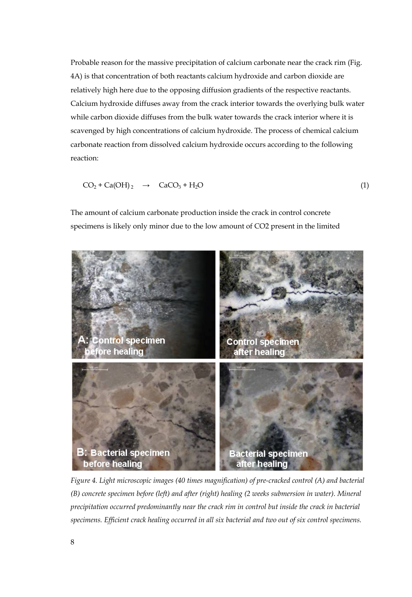Probable reason for the massive precipitation of calcium carbonate near the crack rim (Fig. 4A) is that concentration of both reactants calcium hydroxide and carbon dioxide are relatively high here due to the opposing diffusion gradients of the respective reactants. Calcium hydroxide diffuses away from the crack interior towards the overlying bulk water while carbon dioxide diffuses from the bulk water towards the crack interior where it is scavenged by high concentrations of calcium hydroxide. The process of chemical calcium carbonate reaction from dissolved calcium hydroxide occurs according to the following reaction:

$$
CO2 + Ca(OH)2 \rightarrow CaCO3 + H2O
$$
 (1)

The amount of calcium carbonate production inside the crack in control concrete specimens is likely only minor due to the low amount of CO2 present in the limited



*Figure 4. Light microscopic images (40 times magnification) of pre-cracked control (A) and bacterial (B) concrete specimen before (left) and after (right) healing (2 weeks submersion in water). Mineral precipitation occurred predominantly near the crack rim in control but inside the crack in bacterial specimens. Efficient crack healing occurred in all six bacterial and two out of six control specimens.*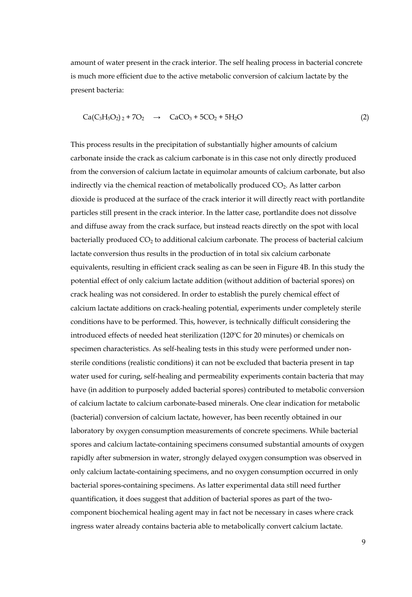amount of water present in the crack interior. The self healing process in bacterial concrete is much more efficient due to the active metabolic conversion of calcium lactate by the present bacteria:

$$
Ca(C_3H_5O_2)_2 + 7O_2 \rightarrow CaCO_3 + 5CO_2 + 5H_2O \tag{2}
$$

This process results in the precipitation of substantially higher amounts of calcium carbonate inside the crack as calcium carbonate is in this case not only directly produced from the conversion of calcium lactate in equimolar amounts of calcium carbonate, but also indirectly via the chemical reaction of metabolically produced  $CO<sub>2</sub>$ . As latter carbon dioxide is produced at the surface of the crack interior it will directly react with portlandite particles still present in the crack interior. In the latter case, portlandite does not dissolve and diffuse away from the crack surface, but instead reacts directly on the spot with local bacterially produced  $CO<sub>2</sub>$  to additional calcium carbonate. The process of bacterial calcium lactate conversion thus results in the production of in total six calcium carbonate equivalents, resulting in efficient crack sealing as can be seen in Figure 4B. In this study the potential effect of only calcium lactate addition (without addition of bacterial spores) on crack healing was not considered. In order to establish the purely chemical effect of calcium lactate additions on crack-healing potential, experiments under completely sterile conditions have to be performed. This, however, is technically difficult considering the introduced effects of needed heat sterilization (120ºC for 20 minutes) or chemicals on specimen characteristics. As self-healing tests in this study were performed under nonsterile conditions (realistic conditions) it can not be excluded that bacteria present in tap water used for curing, self-healing and permeability experiments contain bacteria that may have (in addition to purposely added bacterial spores) contributed to metabolic conversion of calcium lactate to calcium carbonate-based minerals. One clear indication for metabolic (bacterial) conversion of calcium lactate, however, has been recently obtained in our laboratory by oxygen consumption measurements of concrete specimens. While bacterial spores and calcium lactate-containing specimens consumed substantial amounts of oxygen rapidly after submersion in water, strongly delayed oxygen consumption was observed in only calcium lactate-containing specimens, and no oxygen consumption occurred in only bacterial spores-containing specimens. As latter experimental data still need further quantification, it does suggest that addition of bacterial spores as part of the twocomponent biochemical healing agent may in fact not be necessary in cases where crack ingress water already contains bacteria able to metabolically convert calcium lactate.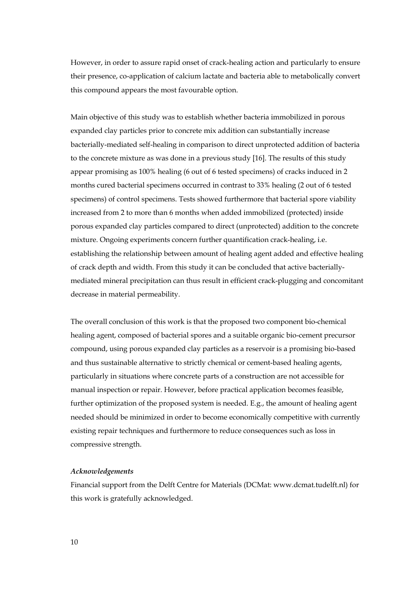However, in order to assure rapid onset of crack-healing action and particularly to ensure their presence, co-application of calcium lactate and bacteria able to metabolically convert this compound appears the most favourable option.

Main objective of this study was to establish whether bacteria immobilized in porous expanded clay particles prior to concrete mix addition can substantially increase bacterially-mediated self-healing in comparison to direct unprotected addition of bacteria to the concrete mixture as was done in a previous study [16]. The results of this study appear promising as 100% healing (6 out of 6 tested specimens) of cracks induced in 2 months cured bacterial specimens occurred in contrast to 33% healing (2 out of 6 tested specimens) of control specimens. Tests showed furthermore that bacterial spore viability increased from 2 to more than 6 months when added immobilized (protected) inside porous expanded clay particles compared to direct (unprotected) addition to the concrete mixture. Ongoing experiments concern further quantification crack-healing, i.e. establishing the relationship between amount of healing agent added and effective healing of crack depth and width. From this study it can be concluded that active bacteriallymediated mineral precipitation can thus result in efficient crack-plugging and concomitant decrease in material permeability.

The overall conclusion of this work is that the proposed two component bio-chemical healing agent, composed of bacterial spores and a suitable organic bio-cement precursor compound, using porous expanded clay particles as a reservoir is a promising bio-based and thus sustainable alternative to strictly chemical or cement-based healing agents, particularly in situations where concrete parts of a construction are not accessible for manual inspection or repair. However, before practical application becomes feasible, further optimization of the proposed system is needed. E.g., the amount of healing agent needed should be minimized in order to become economically competitive with currently existing repair techniques and furthermore to reduce consequences such as loss in compressive strength.

#### *Acknowledgements*

Financial support from the Delft Centre for Materials (DCMat: www.dcmat.tudelft.nl) for this work is gratefully acknowledged.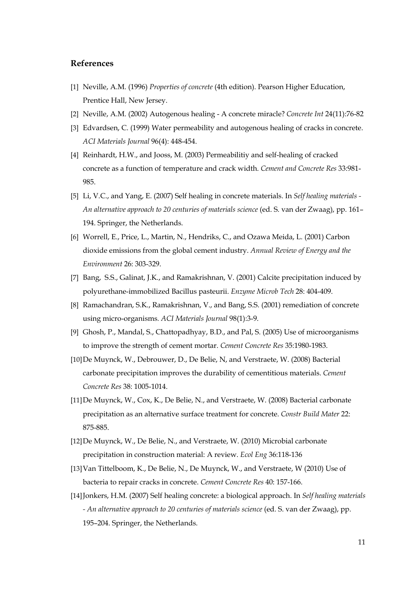# **References**

- [1] Neville, A.M. (1996) *Properties of concrete* (4th edition). Pearson Higher Education, Prentice Hall, New Jersey.
- [2] Neville, A.M. (2002) Autogenous healing A concrete miracle? *Concrete Int* 24(11):76-82
- [3] Edvardsen, C. (1999) Water permeability and autogenous healing of cracks in concrete. *ACI Materials Journal* 96(4): 448-454.
- [4] Reinhardt, H.W., and Jooss, M. (2003) Permeabilitiy and self-healing of cracked concrete as a function of temperature and crack width. *Cement and Concrete Res* 33:981- 985.
- [5] Li, V.C., and Yang, E. (2007) Self healing in concrete materials. In *Self healing materials An alternative approach to 20 centuries of materials science* (ed. S. van der Zwaag), pp. 161– 194. Springer, the Netherlands.
- [6] Worrell, E., Price, L., Martin, N., Hendriks, C., and Ozawa Meida, L. (2001) Carbon dioxide emissions from the global cement industry. *Annual Review of Energy and the Environment* 26: 303-329.
- [7] Bang, S.S., Galinat, J.K., and Ramakrishnan, V. (2001) Calcite precipitation induced by polyurethane-immobilized Bacillus pasteurii. *Enzyme Microb Tech* 28: 404-409.
- [8] Ramachandran, S.K., Ramakrishnan, V., and Bang, S.S. (2001) remediation of concrete using micro-organisms*. ACI Materials Journal* 98(1):3-9.
- [9] Ghosh, P., Mandal, S., Chattopadhyay, B.D., and Pal, S. (2005) Use of microorganisms to improve the strength of cement mortar. *Cement Concrete Res* 35:1980-1983.
- [10]De Muynck, W., Debrouwer, D., De Belie, N, and Verstraete, W. (2008) Bacterial carbonate precipitation improves the durability of cementitious materials. *Cement Concrete Res* 38: 1005-1014.
- [11]De Muynck, W., Cox, K., De Belie, N., and Verstraete, W. (2008) Bacterial carbonate precipitation as an alternative surface treatment for concrete. *Constr Build Mater* 22: 875-885.
- [12]De Muynck, W., De Belie, N., and Verstraete, W. (2010) Microbial carbonate precipitation in construction material: A review. *Ecol Eng* 36:118-136
- [13]Van Tittelboom, K., De Belie, N., De Muynck, W., and Verstraete, W (2010) Use of bacteria to repair cracks in concrete. *Cement Concrete Res* 40: 157-166.
- [14]Jonkers, H.M. (2007) Self healing concrete: a biological approach. In *Self healing materials - An alternative approach to 20 centuries of materials science* (ed. S. van der Zwaag), pp. 195–204. Springer, the Netherlands.